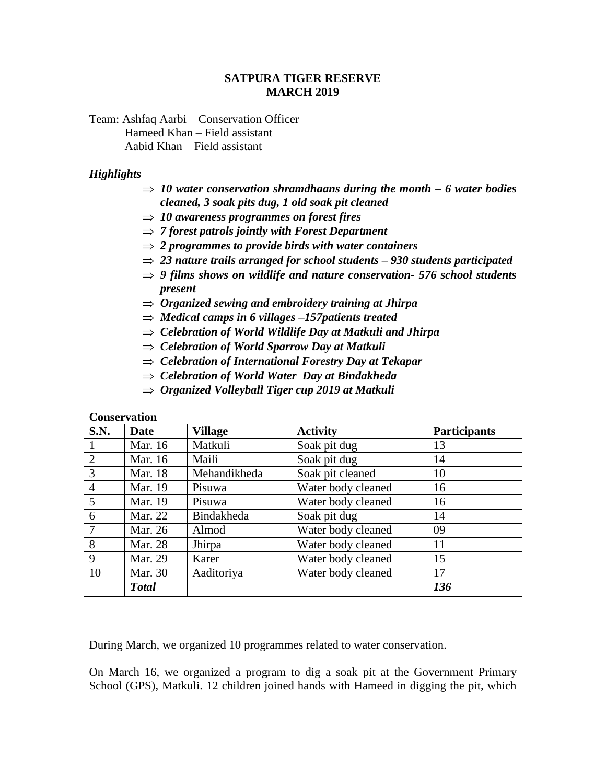#### **SATPURA TIGER RESERVE MARCH 2019**

Team: Ashfaq Aarbi – Conservation Officer Hameed Khan – Field assistant Aabid Khan – Field assistant

#### *Highlights*

- $\Rightarrow$  10 water conservation shramdhaans during the month 6 water bodies *cleaned, 3 soak pits dug, 1 old soak pit cleaned*
- $\Rightarrow$  10 *awareness programmes on forest fires*
- $\Rightarrow$  7 *forest patrols jointly with Forest Department*
- *2 programmes to provide birds with water containers*
- *23 nature trails arranged for school students – 930 students participated*
- *9 films shows on wildlife and nature conservation- 576 school students present*
- *Organized sewing and embroidery training at Jhirpa*
- *Medical camps in 6 villages –157patients treated*
- *Celebration of World Wildlife Day at Matkuli and Jhirpa*
- *Celebration of World Sparrow Day at Matkuli*
- *Celebration of International Forestry Day at Tekapar*
- *Celebration of World Water Day at Bindakheda*
- *Organized Volleyball Tiger cup 2019 at Matkuli*

#### **Conservation**

| S.N.           | <b>Date</b>    | <b>Village</b> | <b>Activity</b>    | <b>Participants</b> |
|----------------|----------------|----------------|--------------------|---------------------|
| -1             | Mar. 16        | Matkuli        | Soak pit dug       | 13                  |
| 2              | Mar. 16        | Maili          | Soak pit dug       | 14                  |
| 3              | <b>Mar.</b> 18 | Mehandikheda   | Soak pit cleaned   | 10                  |
| $\overline{4}$ | Mar. 19        | Pisuwa         | Water body cleaned | 16                  |
| 5              | Mar. 19        | Pisuwa         | Water body cleaned | 16                  |
| 6              | Mar. 22        | Bindakheda     | Soak pit dug       | 14                  |
| 7              | Mar. 26        | Almod          | Water body cleaned | 09                  |
| 8              | Mar. 28        | Jhirpa         | Water body cleaned | 11                  |
| 9              | Mar. 29        | Karer          | Water body cleaned | 15                  |
| 10             | Mar. 30        | Aaditoriya     | Water body cleaned | 17                  |
|                | <b>Total</b>   |                |                    | 136                 |

During March, we organized 10 programmes related to water conservation.

On March 16, we organized a program to dig a soak pit at the Government Primary School (GPS), Matkuli. 12 children joined hands with Hameed in digging the pit, which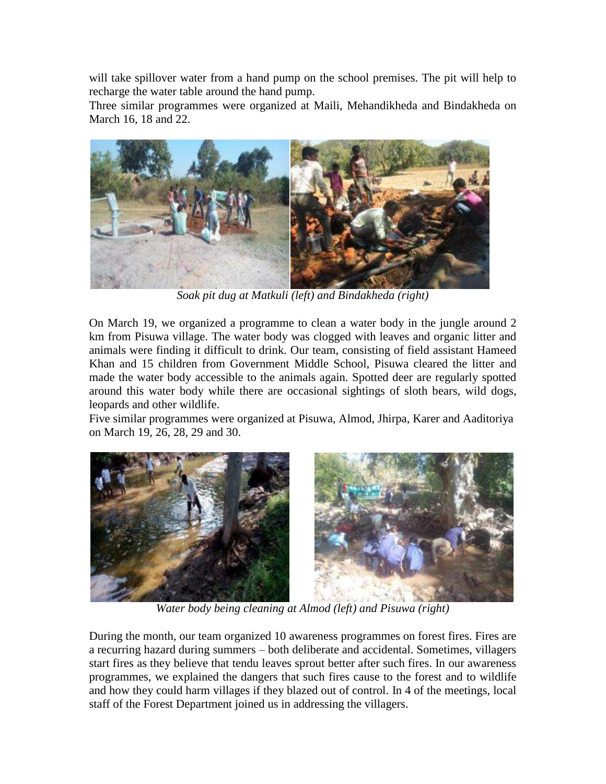will take spillover water from a hand pump on the school premises. The pit will help to recharge the water table around the hand pump.

Three similar programmes were organized at Maili, Mehandikheda and Bindakheda on March 16, 18 and 22.



*Soak pit dug at Matkuli (left) and Bindakheda (right)*

On March 19, we organized a programme to clean a water body in the jungle around 2 km from Pisuwa village. The water body was clogged with leaves and organic litter and animals were finding it difficult to drink. Our team, consisting of field assistant Hameed Khan and 15 children from Government Middle School, Pisuwa cleared the litter and made the water body accessible to the animals again. Spotted deer are regularly spotted around this water body while there are occasional sightings of sloth bears, wild dogs, leopards and other wildlife.

Five similar programmes were organized at Pisuwa, Almod, Jhirpa, Karer and Aaditoriya on March 19, 26, 28, 29 and 30.



*Water body being cleaning at Almod (left) and Pisuwa (right)*

During the month, our team organized 10 awareness programmes on forest fires. Fires are a recurring hazard during summers – both deliberate and accidental. Sometimes, villagers start fires as they believe that tendu leaves sprout better after such fires. In our awareness programmes, we explained the dangers that such fires cause to the forest and to wildlife and how they could harm villages if they blazed out of control. In 4 of the meetings, local staff of the Forest Department joined us in addressing the villagers.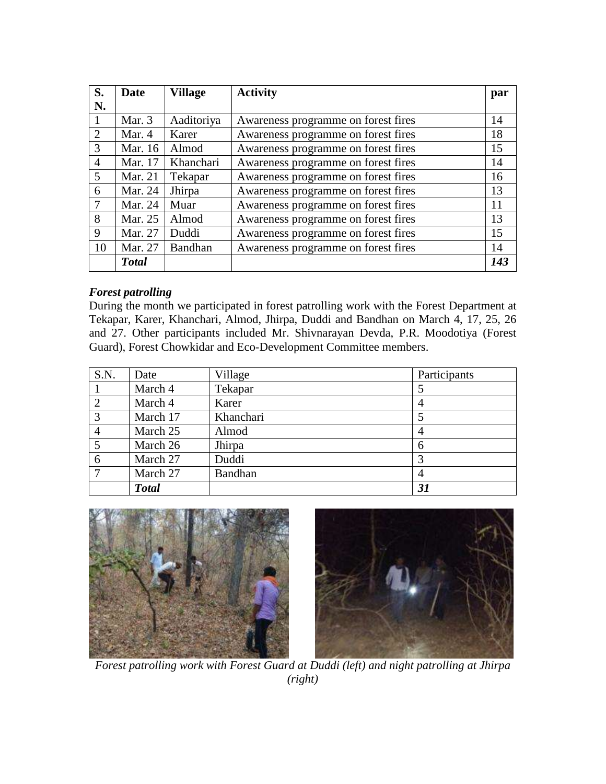| S.             | <b>Date</b>    | Village    | <b>Activity</b>                     | par |
|----------------|----------------|------------|-------------------------------------|-----|
| N.             |                |            |                                     |     |
|                | Mar. 3         | Aaditoriya | Awareness programme on forest fires | 14  |
| 2              | Mar. 4         | Karer      | Awareness programme on forest fires | 18  |
| 3              | Mar. 16        | Almod      | Awareness programme on forest fires | 15  |
| $\overline{4}$ | Mar. 17        | Khanchari  | Awareness programme on forest fires | 14  |
| $\overline{5}$ | <b>Mar. 21</b> | Tekapar    | Awareness programme on forest fires | 16  |
| 6              | Mar. 24        | Jhirpa     | Awareness programme on forest fires | 13  |
| $\overline{7}$ | Mar. 24        | Muar       | Awareness programme on forest fires | 11  |
| 8              | Mar. 25        | Almod      | Awareness programme on forest fires | 13  |
| 9              | Mar. 27        | Duddi      | Awareness programme on forest fires | 15  |
| 10             | Mar. 27        | Bandhan    | Awareness programme on forest fires | 14  |
|                | <b>Total</b>   |            |                                     | 143 |

# *Forest patrolling*

During the month we participated in forest patrolling work with the Forest Department at Tekapar, Karer, Khanchari, Almod, Jhirpa, Duddi and Bandhan on March 4, 17, 25, 26 and 27. Other participants included Mr. Shivnarayan Devda, P.R. Moodotiya (Forest Guard), Forest Chowkidar and Eco-Development Committee members.

| S.N.           | Date         | Village        | Participants |
|----------------|--------------|----------------|--------------|
|                | March 4      | Tekapar        |              |
| 2              | March 4      | Karer          | 4            |
| 3              | March 17     | Khanchari      |              |
| $\overline{4}$ | March 25     | Almod          | 4            |
| 5              | March 26     | Jhirpa         | 6            |
| 6              | March 27     | Duddi          |              |
|                | March 27     | <b>Bandhan</b> | 4            |
|                | <b>Total</b> |                | 31           |





*Forest patrolling work with Forest Guard at Duddi (left) and night patrolling at Jhirpa (right)*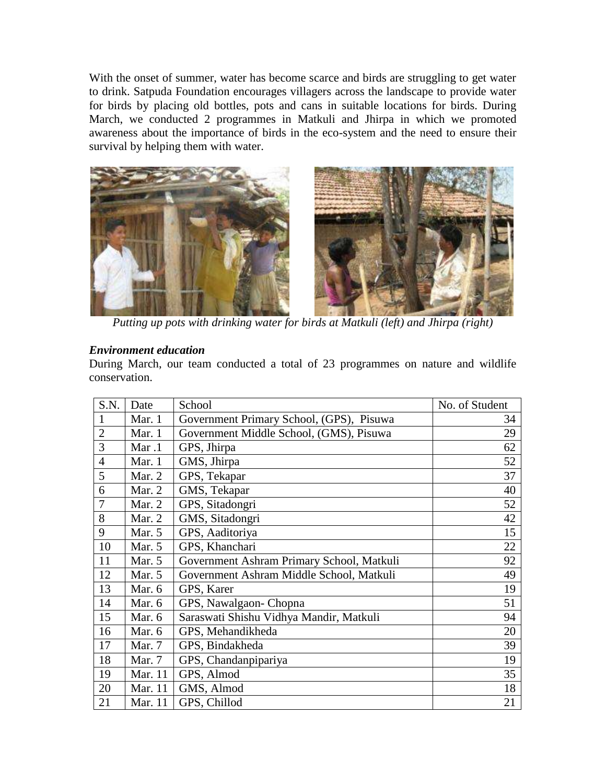With the onset of summer, water has become scarce and birds are struggling to get water to drink. Satpuda Foundation encourages villagers across the landscape to provide water for birds by placing old bottles, pots and cans in suitable locations for birds. During March, we conducted 2 programmes in Matkuli and Jhirpa in which we promoted awareness about the importance of birds in the eco-system and the need to ensure their survival by helping them with water.



*Putting up pots with drinking water for birds at Matkuli (left) and Jhirpa (right)* 

## *Environment education*

During March, our team conducted a total of 23 programmes on nature and wildlife conservation.

| S.N.           | Date     | School                                    | No. of Student |
|----------------|----------|-------------------------------------------|----------------|
| 1              | Mar. 1   | Government Primary School, (GPS), Pisuwa  | 34             |
| $\overline{2}$ | Mar. 1   | Government Middle School, (GMS), Pisuwa   | 29             |
| 3              | Mar.1    | GPS, Jhirpa                               | 62             |
| $\overline{4}$ | Mar. 1   | GMS, Jhirpa                               | 52             |
| 5              | Mar. 2   | GPS, Tekapar                              | 37             |
| 6              | Mar. $2$ | GMS, Tekapar                              | 40             |
| 7              | Mar. 2   | GPS, Sitadongri                           | 52             |
| 8              | Mar. 2   | GMS, Sitadongri                           | 42             |
| 9              | Mar. $5$ | GPS, Aaditoriya                           | 15             |
| 10             | Mar. 5   | GPS, Khanchari                            | 22             |
| 11             | Mar. 5   | Government Ashram Primary School, Matkuli | 92             |
| 12             | Mar. 5   | Government Ashram Middle School, Matkuli  | 49             |
| 13             | Mar. 6   | GPS, Karer                                | 19             |
| 14             | Mar. 6   | GPS, Nawalgaon-Chopna                     | 51             |
| 15             | Mar. 6   | Saraswati Shishu Vidhya Mandir, Matkuli   | 94             |
| 16             | Mar. 6   | GPS, Mehandikheda                         | 20             |
| 17             | Mar. 7   | GPS, Bindakheda                           | 39             |
| 18             | Mar. 7   | GPS, Chandanpipariya                      | 19             |
| 19             | Mar. 11  | GPS, Almod                                | 35             |
| 20             | Mar. 11  | GMS, Almod                                | 18             |
| 21             | Mar. 11  | GPS, Chillod                              | 21             |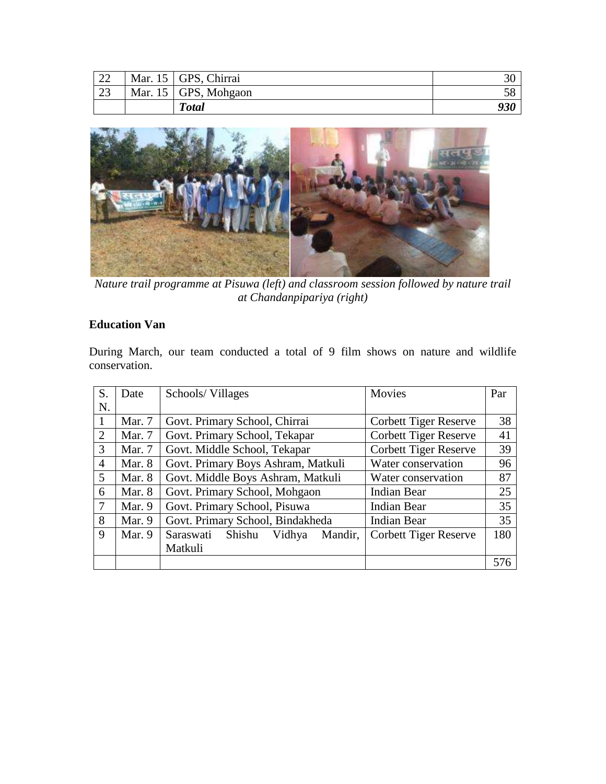| 22 | Mar. 15   GPS, Chirrai |     |
|----|------------------------|-----|
| 23 | Mar. 15   GPS, Mohgaon |     |
|    | <b>Total</b>           | 930 |



*Nature trail programme at Pisuwa (left) and classroom session followed by nature trail at Chandanpipariya (right)*

# **Education Van**

During March, our team conducted a total of 9 film shows on nature and wildlife conservation.

| S. | Date     | Schools/Villages                         | Movies                       | Par |
|----|----------|------------------------------------------|------------------------------|-----|
| N. |          |                                          |                              |     |
|    | Mar. 7   | Govt. Primary School, Chirrai            | <b>Corbett Tiger Reserve</b> | 38  |
| 2  | Mar. 7   | Govt. Primary School, Tekapar            | <b>Corbett Tiger Reserve</b> | 41  |
| 3  | Mar. 7   | Govt. Middle School, Tekapar             | <b>Corbett Tiger Reserve</b> | 39  |
| 4  | Mar. 8   | Govt. Primary Boys Ashram, Matkuli       | Water conservation           | 96  |
| 5  | Mar. 8   | Govt. Middle Boys Ashram, Matkuli        | Water conservation           | 87  |
| 6  | Mar. $8$ | Govt. Primary School, Mohgaon            | <b>Indian Bear</b>           | 25  |
| 7  | Mar. 9   | Govt. Primary School, Pisuwa             | <b>Indian Bear</b>           | 35  |
| 8  | Mar. 9   | Govt. Primary School, Bindakheda         | <b>Indian Bear</b>           | 35  |
| 9  | Mar. $9$ | Saraswati<br>Shishu<br>Vidhya<br>Mandir, | <b>Corbett Tiger Reserve</b> | 180 |
|    |          | Matkuli                                  |                              |     |
|    |          |                                          |                              | 576 |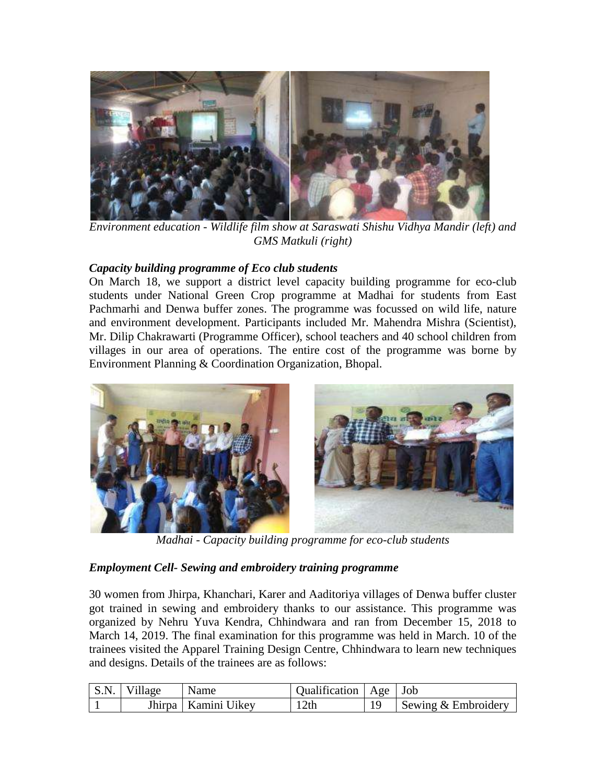

*Environment education - Wildlife film show at Saraswati Shishu Vidhya Mandir (left) and GMS Matkuli (right)*

## *Capacity building programme of Eco club students*

On March 18, we support a district level capacity building programme for eco-club students under National Green Crop programme at Madhai for students from East Pachmarhi and Denwa buffer zones. The programme was focussed on wild life, nature and environment development. Participants included Mr. Mahendra Mishra (Scientist), Mr. Dilip Chakrawarti (Programme Officer), school teachers and 40 school children from villages in our area of operations. The entire cost of the programme was borne by Environment Planning & Coordination Organization, Bhopal.



*Madhai - Capacity building programme for eco-club students*

## *Employment Cell- Sewing and embroidery training programme*

30 women from Jhirpa, Khanchari, Karer and Aaditoriya villages of Denwa buffer cluster got trained in sewing and embroidery thanks to our assistance. This programme was organized by Nehru Yuva Kendra, Chhindwara and ran from December 15, 2018 to March 14, 2019. The final examination for this programme was held in March. 10 of the trainees visited the Apparel Training Design Centre, Chhindwara to learn new techniques and designs. Details of the trainees are as follows:

| S.N. Village | Name                  | Qualification   Age   Job |                       |
|--------------|-----------------------|---------------------------|-----------------------|
|              | Jhirpa   Kamini Uikey | 12th                      | Sewing $&$ Embroidery |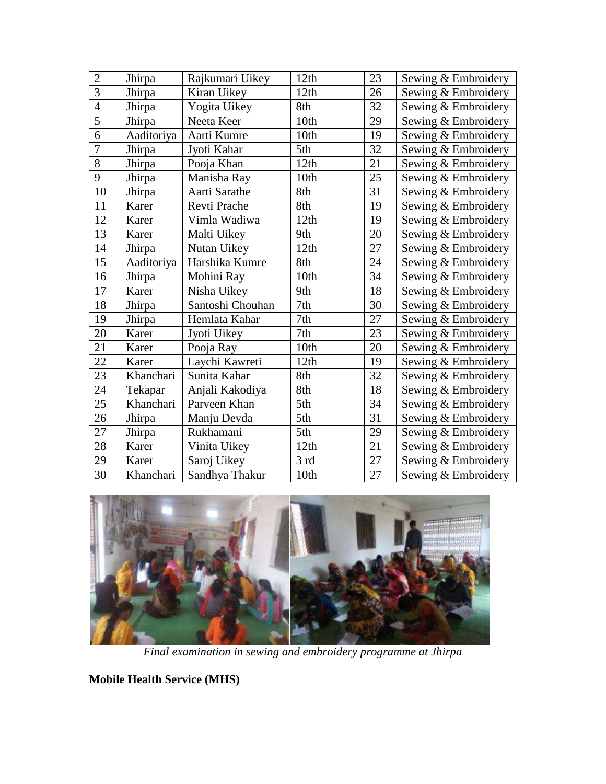| Rajkumari Uikey  | 12th                                                                       | 23 | Sewing & Embroidery |
|------------------|----------------------------------------------------------------------------|----|---------------------|
|                  |                                                                            |    |                     |
| Kiran Uikey      | 12th                                                                       | 26 | Sewing & Embroidery |
| Yogita Uikey     | 8th                                                                        | 32 | Sewing & Embroidery |
| Neeta Keer       | 10 <sub>th</sub>                                                           | 29 | Sewing & Embroidery |
| Aarti Kumre      | 10th                                                                       | 19 | Sewing & Embroidery |
| Jyoti Kahar      | 5th                                                                        | 32 | Sewing & Embroidery |
| Pooja Khan       | 12th                                                                       | 21 | Sewing & Embroidery |
| Manisha Ray      | 10th                                                                       | 25 | Sewing & Embroidery |
| Aarti Sarathe    | 8th                                                                        | 31 | Sewing & Embroidery |
| Revti Prache     | 8th                                                                        | 19 | Sewing & Embroidery |
| Vimla Wadiwa     | 12th                                                                       | 19 | Sewing & Embroidery |
| Malti Uikey      | 9th                                                                        | 20 | Sewing & Embroidery |
| Nutan Uikey      | 12th                                                                       | 27 | Sewing & Embroidery |
| Harshika Kumre   | 8th                                                                        | 24 | Sewing & Embroidery |
| Mohini Ray       | 10th                                                                       | 34 | Sewing & Embroidery |
| Nisha Uikey      | 9th                                                                        | 18 | Sewing & Embroidery |
| Santoshi Chouhan | 7th                                                                        | 30 | Sewing & Embroidery |
| Hemlata Kahar    | 7th                                                                        | 27 | Sewing & Embroidery |
| Jyoti Uikey      | 7th                                                                        | 23 | Sewing & Embroidery |
| Pooja Ray        | 10th                                                                       | 20 | Sewing & Embroidery |
| Laychi Kawreti   | 12th                                                                       | 19 | Sewing & Embroidery |
| Sunita Kahar     | 8th                                                                        | 32 | Sewing & Embroidery |
| Anjali Kakodiya  | 8th                                                                        | 18 | Sewing & Embroidery |
| Parveen Khan     | 5th                                                                        | 34 | Sewing & Embroidery |
| Manju Devda      | 5th                                                                        | 31 | Sewing & Embroidery |
| Rukhamani        | 5th                                                                        | 29 | Sewing & Embroidery |
| Vinita Uikey     | 12th                                                                       | 21 | Sewing & Embroidery |
| Saroj Uikey      | 3rd                                                                        | 27 | Sewing & Embroidery |
| Sandhya Thakur   | 10th                                                                       | 27 | Sewing & Embroidery |
|                  | Aaditoriya<br>Aaditoriya<br>Khanchari<br>Tekapar<br>Khanchari<br>Khanchari |    |                     |



*Final examination in sewing and embroidery programme at Jhirpa*

**Mobile Health Service (MHS)**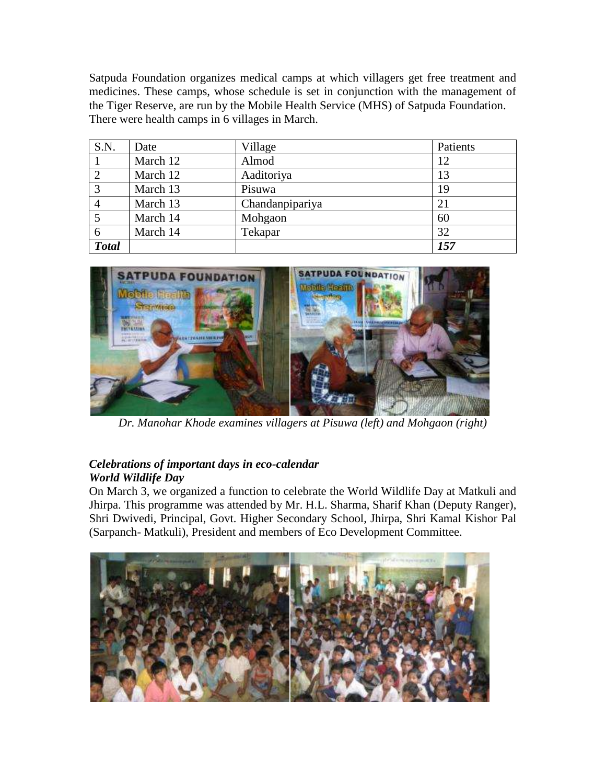Satpuda Foundation organizes medical camps at which villagers get free treatment and medicines. These camps, whose schedule is set in conjunction with the management of the Tiger Reserve, are run by the Mobile Health Service (MHS) of Satpuda Foundation. There were health camps in 6 villages in March.

| S.N.           | Date     | Village         | Patients |
|----------------|----------|-----------------|----------|
|                | March 12 | Almod           | 12       |
| $\overline{2}$ | March 12 | Aaditoriya      | 13       |
| 3              | March 13 | Pisuwa          | 19       |
|                | March 13 | Chandanpipariya | 21       |
|                | March 14 | Mohgaon         | 60       |
| 6              | March 14 | Tekapar         | 32       |
| <b>Total</b>   |          |                 | 157      |



*Dr. Manohar Khode examines villagers at Pisuwa (left) and Mohgaon (right)*

# *Celebrations of important days in eco-calendar World Wildlife Day*

On March 3, we organized a function to celebrate the World Wildlife Day at Matkuli and Jhirpa. This programme was attended by Mr. H.L. Sharma, Sharif Khan (Deputy Ranger), Shri Dwivedi, Principal, Govt. Higher Secondary School, Jhirpa, Shri Kamal Kishor Pal (Sarpanch- Matkuli), President and members of Eco Development Committee.

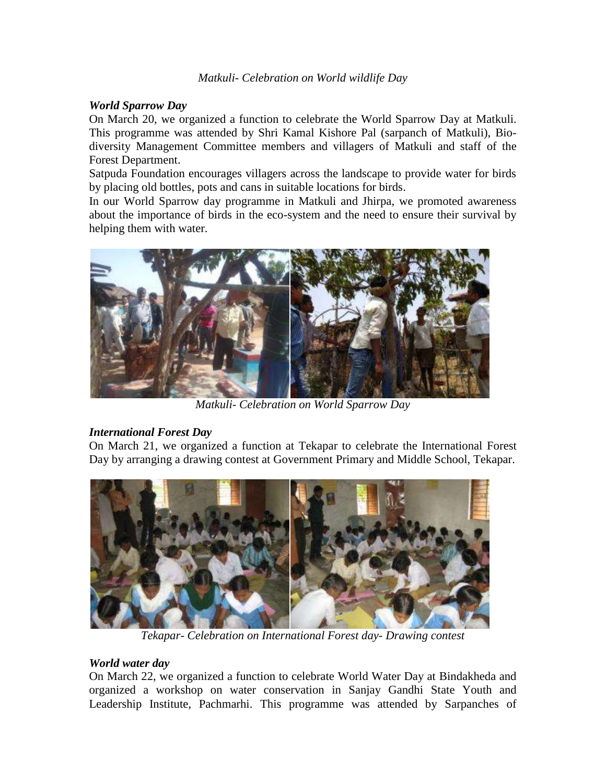#### *World Sparrow Day*

On March 20, we organized a function to celebrate the World Sparrow Day at Matkuli. This programme was attended by Shri Kamal Kishore Pal (sarpanch of Matkuli), Biodiversity Management Committee members and villagers of Matkuli and staff of the Forest Department.

Satpuda Foundation encourages villagers across the landscape to provide water for birds by placing old bottles, pots and cans in suitable locations for birds.

In our World Sparrow day programme in Matkuli and Jhirpa, we promoted awareness about the importance of birds in the eco-system and the need to ensure their survival by helping them with water.



*Matkuli- Celebration on World Sparrow Day*

## *International Forest Day*

On March 21, we organized a function at Tekapar to celebrate the International Forest Day by arranging a drawing contest at Government Primary and Middle School, Tekapar.



*Tekapar- Celebration on International Forest day- Drawing contest*

#### *World water day*

On March 22, we organized a function to celebrate World Water Day at Bindakheda and organized a workshop on water conservation in Sanjay Gandhi State Youth and Leadership Institute, Pachmarhi. This programme was attended by Sarpanches of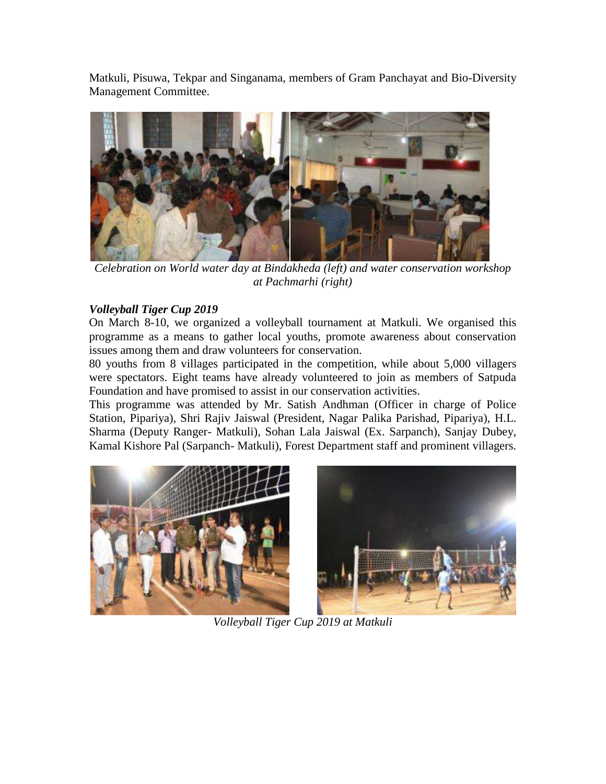Matkuli, Pisuwa, Tekpar and Singanama, members of Gram Panchayat and Bio-Diversity Management Committee.



*Celebration on World water day at Bindakheda (left) and water conservation workshop at Pachmarhi (right)*

# *Volleyball Tiger Cup 2019*

On March 8-10, we organized a volleyball tournament at Matkuli. We organised this programme as a means to gather local youths, promote awareness about conservation issues among them and draw volunteers for conservation.

80 youths from 8 villages participated in the competition, while about 5,000 villagers were spectators. Eight teams have already volunteered to join as members of Satpuda Foundation and have promised to assist in our conservation activities.

This programme was attended by Mr. Satish Andhman (Officer in charge of Police Station, Pipariya), Shri Rajiv Jaiswal (President, Nagar Palika Parishad, Pipariya), H.L. Sharma (Deputy Ranger- Matkuli), Sohan Lala Jaiswal (Ex. Sarpanch), Sanjay Dubey, Kamal Kishore Pal (Sarpanch- Matkuli), Forest Department staff and prominent villagers.





*Volleyball Tiger Cup 2019 at Matkuli*